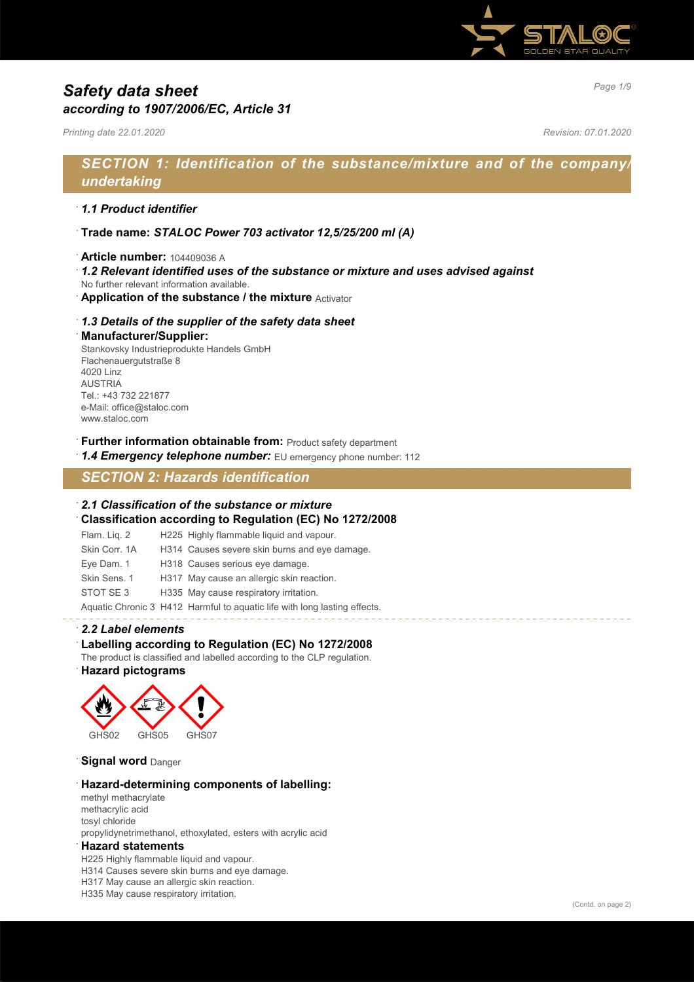

# *Page 1/9 Safety data sheet according to 1907/2006/EC, Article 31*

*Printing date 22.01.2020 Revision: 07.01.2020*

# *SECTION 1: Identification of the substance/mixture and of the company/ undertaking*

### · *1.1 Product identifier*

- · **Trade name:** *STALOC Power 703 activator 12,5/25/200 ml (A)*
- · **Article number:** 104409036 A
- · *1.2 Relevant identified uses of the substance or mixture and uses advised against*
- No further relevant information available.
- **Application of the substance / the mixture** Activator

### · *1.3 Details of the supplier of the safety data sheet*

#### · **Manufacturer/Supplier:**

Stankovsky Industrieprodukte Handels GmbH Flachenauergutstraße 8 4020 Linz AUSTRIA Tel.: +43 732 221877 e-Mail: office@staloc.com www.staloc.com

- **Further information obtainable from:** Product safety department
- 1.4 **Emergency telephone number:** EU emergency phone number: 112

# *SECTION 2: Hazards identification*

### · *2.1 Classification of the substance or mixture*

· **Classification according to Regulation (EC) No 1272/2008**

| Flam. Lig. 2  | H225 Highly flammable liquid and vapour.                                  |
|---------------|---------------------------------------------------------------------------|
| Skin Corr, 1A | H314 Causes severe skin burns and eye damage.                             |
| Eye Dam. 1    | H318 Causes serious eye damage.                                           |
| Skin Sens, 1  | H317 May cause an allergic skin reaction.                                 |
| STOT SE3      | H335 May cause respiratory irritation.                                    |
|               | Aquatic Chronic 3 H412 Harmful to aquatic life with long lasting effects. |

### · *2.2 Label elements*

### · **Labelling according to Regulation (EC) No 1272/2008**

The product is classified and labelled according to the CLP regulation.

### · **Hazard pictograms**



**Signal word Danger** 

#### · **Hazard-determining components of labelling:**

methyl methacrylate methacrylic acid tosyl chloride propylidynetrimethanol, ethoxylated, esters with acrylic acid

#### · **Hazard statements**

H225 Highly flammable liquid and vapour. H314 Causes severe skin burns and eye damage. H317 May cause an allergic skin reaction. H335 May cause respiratory irritation.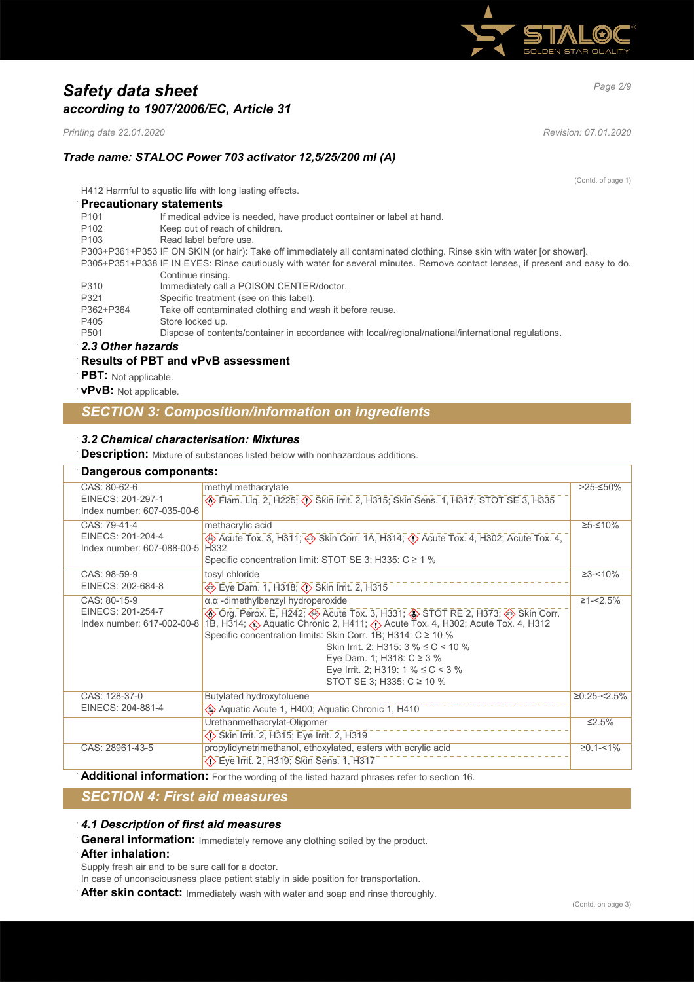

# *Page 2/9 Safety data sheet according to 1907/2006/EC, Article 31*

*Printing date 22.01.2020 Revision: 07.01.2020*

(Contd. of page 1)

## *Trade name: STALOC Power 703 activator 12,5/25/200 ml (A)*

H412 Harmful to aquatic life with long lasting effects.

| <b>Precautionary statements</b>                                                                                               |                                                                                                                         |  |
|-------------------------------------------------------------------------------------------------------------------------------|-------------------------------------------------------------------------------------------------------------------------|--|
| P <sub>101</sub>                                                                                                              | If medical advice is needed, have product container or label at hand.                                                   |  |
| P <sub>102</sub>                                                                                                              | Keep out of reach of children.                                                                                          |  |
| P <sub>103</sub>                                                                                                              | Read label before use.                                                                                                  |  |
|                                                                                                                               | P303+P361+P353 IF ON SKIN (or hair): Take off immediately all contaminated clothing. Rinse skin with water [or shower]. |  |
| P305+P351+P338 IF IN EYES: Rinse cautiously with water for several minutes. Remove contact lenses, if present and easy to do. |                                                                                                                         |  |
|                                                                                                                               | Continue rinsing.                                                                                                       |  |
| P310                                                                                                                          | Immediately call a POISON CENTER/doctor.                                                                                |  |
| P321                                                                                                                          | Specific treatment (see on this label).                                                                                 |  |
| P362+P364                                                                                                                     | Take off contaminated clothing and wash it before reuse.                                                                |  |
| P405                                                                                                                          | Store locked up.                                                                                                        |  |
| P <sub>501</sub>                                                                                                              | Dispose of contents/container in accordance with local/regional/national/international regulations.                     |  |
| $\cdot$ 2.2 Other hererals                                                                                                    |                                                                                                                         |  |

#### · *2.3 Other hazards*

#### · **Results of PBT and vPvB assessment**

- **PBT:** Not applicable.
- · **vPvB:** Not applicable.

# *SECTION 3: Composition/information on ingredients*

### · *3.2 Chemical characterisation: Mixtures*

**Description:** Mixture of substances listed below with nonhazardous additions.

| Dangerous components:                                           |                                                                                                                                                                                                                                                                                                                                                                                                                      |                  |
|-----------------------------------------------------------------|----------------------------------------------------------------------------------------------------------------------------------------------------------------------------------------------------------------------------------------------------------------------------------------------------------------------------------------------------------------------------------------------------------------------|------------------|
| CAS: 80-62-6<br>EINECS: 201-297-1<br>Index number: 607-035-00-6 | methyl methacrylate<br><b>A</b> Flam. Liq. 2, H225; <b>A</b> Skin Irrit. 2, H315; Skin Sens. 1, H317; STOT SE 3, H335                                                                                                                                                                                                                                                                                                | $>25-50%$        |
| CAS: 79-41-4<br>EINECS: 201-204-4<br>Index number: 607-088-00-5 | methacrylic acid<br>→ Acute Tox. 3, H311; → Skin Corr. 1A, H314; ∧ Acute Tox. 4, H302; Acute Tox. 4,<br>H <sub>332</sub><br>Specific concentration limit: STOT SE 3; H335: C ≥ 1 %                                                                                                                                                                                                                                   | ≥5-≤10%          |
| CAS: 98-59-9<br>EINECS: 202-684-8                               | tosyl chloride<br>Eye Dam. 1, H318; $\langle \rangle$ Skin Irrit. 2, H315                                                                                                                                                                                                                                                                                                                                            | $\geq 3 - 10\%$  |
| CAS: 80-15-9<br>EINECS: 201-254-7<br>Index number: 617-002-00-8 | a, a -dimethylbenzyl hydroperoxide<br>The Org. Perox. E, H242; The Tox. 3, H331; The STOT RE 2, H373; A Skin Corr.<br>1B, H314; A Aquatic Chronic 2, H411; A Acute Tox. 4, H302; Acute Tox. 4, H312<br>Specific concentration limits: Skin Corr. 1B; H314: C ≥ 10 %<br>Skin Irrit. 2; H315: $3\%$ ≤ C < 10 %<br>Eye Dam. 1; H318: $C \ge 3$ %<br>Eye Irrit. 2; H319: 1 % $\leq$ C < 3 %<br>STOT SE 3; H335: C ≥ 10 % | $\geq 1 - 2.5\%$ |
| CAS: 128-37-0<br>EINECS: 204-881-4                              | Butylated hydroxytoluene<br>Aquatic Acute 1, H400; Aquatic Chronic 1, H410                                                                                                                                                                                                                                                                                                                                           | $≥0.25 - 5%$     |
|                                                                 | Urethanmethacrylat-Oligomer<br>Skin Irrit. 2, H315; Eye Irrit. 2, H319                                                                                                                                                                                                                                                                                                                                               | $\leq 2.5\%$     |
| CAS: 28961-43-5                                                 | propylidynetrimethanol, ethoxylated, esters with acrylic acid<br>◇ Eye Irrit. 2, H319; Skin Sens. 1, H317                                                                                                                                                                                                                                                                                                            | $\geq 0.1 - 1\%$ |

Additional information: For the wording of the listed hazard phrases refer to section 16.

# *SECTION 4: First aid measures*

#### · *4.1 Description of first aid measures*

· **General information:** Immediately remove any clothing soiled by the product.

#### · **After inhalation:**

- Supply fresh air and to be sure call for a doctor.
- In case of unconsciousness place patient stably in side position for transportation.
- · **After skin contact:** Immediately wash with water and soap and rinse thoroughly.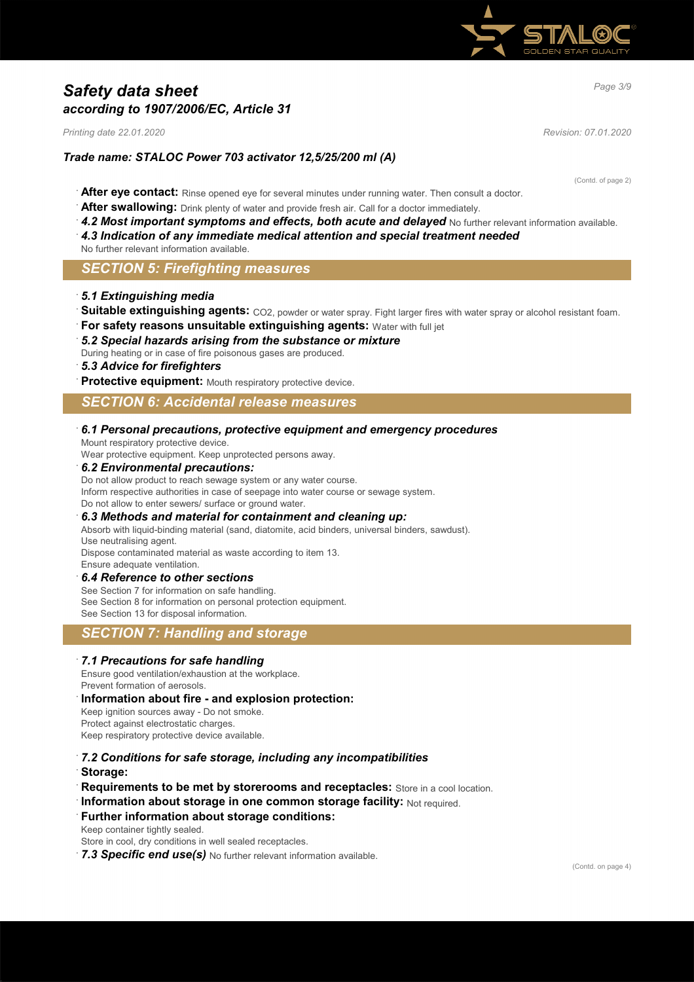

# *Page 3/9 Safety data sheet according to 1907/2006/EC, Article 31*

*Printing date 22.01.2020 Revision: 07.01.2020*

### *Trade name: STALOC Power 703 activator 12,5/25/200 ml (A)*

(Contd. of page 2)

- · **After eye contact:** Rinse opened eye for several minutes under running water. Then consult a doctor.
- After swallowing: Drink plenty of water and provide fresh air. Call for a doctor immediately.
- 4.2 Most important symptoms and effects, both acute and delayed No further relevant information available.
- · *4.3 Indication of any immediate medical attention and special treatment needed*
- No further relevant information available.

### *SECTION 5: Firefighting measures*

#### · *5.1 Extinguishing media*

- Suitable extinguishing agents: CO2, powder or water spray. Fight larger fires with water spray or alcohol resistant foam.
- **For safety reasons unsuitable extinguishing agents: Water with full jet**

#### · *5.2 Special hazards arising from the substance or mixture*

During heating or in case of fire poisonous gases are produced.

### · *5.3 Advice for firefighters*

Protective equipment: Mouth respiratory protective device.

### *SECTION 6: Accidental release measures*

#### · *6.1 Personal precautions, protective equipment and emergency procedures*

Mount respiratory protective device.

Wear protective equipment. Keep unprotected persons away.

#### · *6.2 Environmental precautions:*

Do not allow product to reach sewage system or any water course. Inform respective authorities in case of seepage into water course or sewage system. Do not allow to enter sewers/ surface or ground water.

#### · *6.3 Methods and material for containment and cleaning up:*

Absorb with liquid-binding material (sand, diatomite, acid binders, universal binders, sawdust). Use neutralising agent.

Dispose contaminated material as waste according to item 13. Ensure adequate ventilation.

#### · *6.4 Reference to other sections*

See Section 7 for information on safe handling. See Section 8 for information on personal protection equipment. See Section 13 for disposal information.

### *SECTION 7: Handling and storage*

#### · *7.1 Precautions for safe handling*

Ensure good ventilation/exhaustion at the workplace. Prevent formation of aerosols.

#### · **Information about fire - and explosion protection:**

Keep ignition sources away - Do not smoke. Protect against electrostatic charges. Keep respiratory protective device available.

- · *7.2 Conditions for safe storage, including any incompatibilities* · **Storage:**
- **Requirements to be met by storerooms and receptacles:** Store in a cool location.
- **Information about storage in one common storage facility: Not required.**

#### **Further information about storage conditions:**

Keep container tightly sealed.

Store in cool, dry conditions in well sealed receptacles.

7.3 Specific end use(s) No further relevant information available.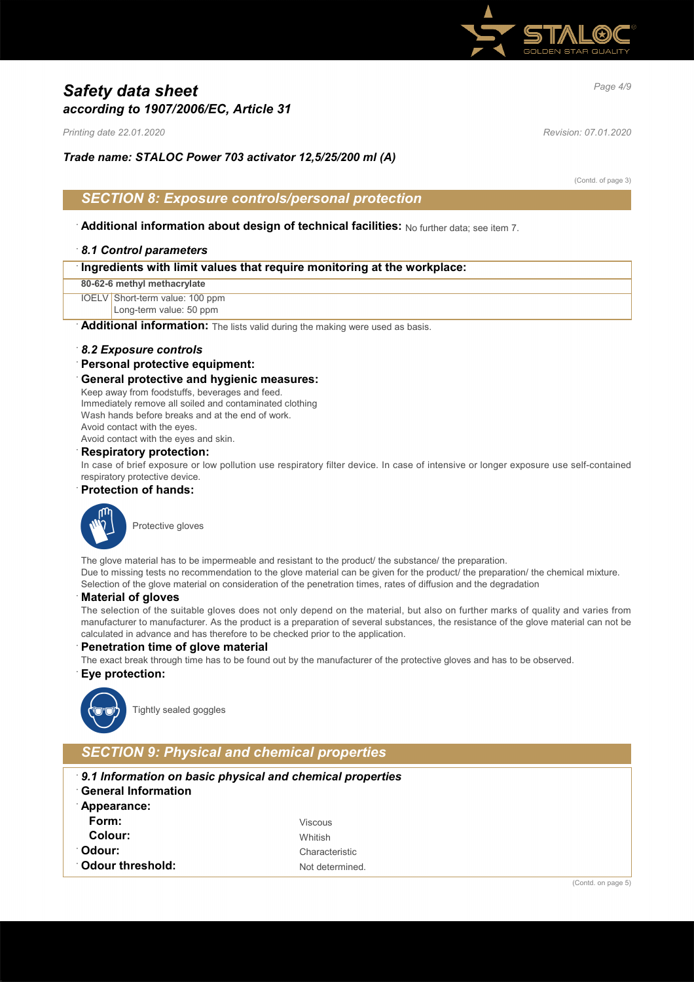

# *Page 4/9 Safety data sheet according to 1907/2006/EC, Article 31*

*Printing date 22.01.2020 Revision: 07.01.2020*

*Trade name: STALOC Power 703 activator 12,5/25/200 ml (A)*

(Contd. of page 3)

## *SECTION 8: Exposure controls/personal protection*

· **Additional information about design of technical facilities:** No further data; see item 7.

### · *8.1 Control parameters*

| Ingredients with limit values that require monitoring at the workplace: |  |
|-------------------------------------------------------------------------|--|
|                                                                         |  |

**80-62-6 methyl methacrylate**

IOELV Short-term value: 100 ppm

Long-term value: 50 ppm

Additional information: The lists valid during the making were used as basis.

#### · *8.2 Exposure controls*

#### · **Personal protective equipment:**

#### · **General protective and hygienic measures:**

Keep away from foodstuffs, beverages and feed. Immediately remove all soiled and contaminated clothing Wash hands before breaks and at the end of work. Avoid contact with the eyes.

Avoid contact with the eyes and skin.

### · **Respiratory protection:**

In case of brief exposure or low pollution use respiratory filter device. In case of intensive or longer exposure use self-contained respiratory protective device.

### · **Protection of hands:**



The glove material has to be impermeable and resistant to the product/ the substance/ the preparation. Due to missing tests no recommendation to the glove material can be given for the product/ the preparation/ the chemical mixture. Selection of the glove material on consideration of the penetration times, rates of diffusion and the degradation

#### · **Material of gloves**

The selection of the suitable gloves does not only depend on the material, but also on further marks of quality and varies from manufacturer to manufacturer. As the product is a preparation of several substances, the resistance of the glove material can not be calculated in advance and has therefore to be checked prior to the application.

#### **Penetration time of glove material**

The exact break through time has to be found out by the manufacturer of the protective gloves and has to be observed.

#### · **Eye protection:**



Tightly sealed goggles

# *SECTION 9: Physical and chemical properties*

- · *9.1 Information on basic physical and chemical properties*
- · **General Information**
- · **Appearance: Form:** Viscous **Colour:** Whitish **Odour:** Characteristic **Odour threshold:** Not determined.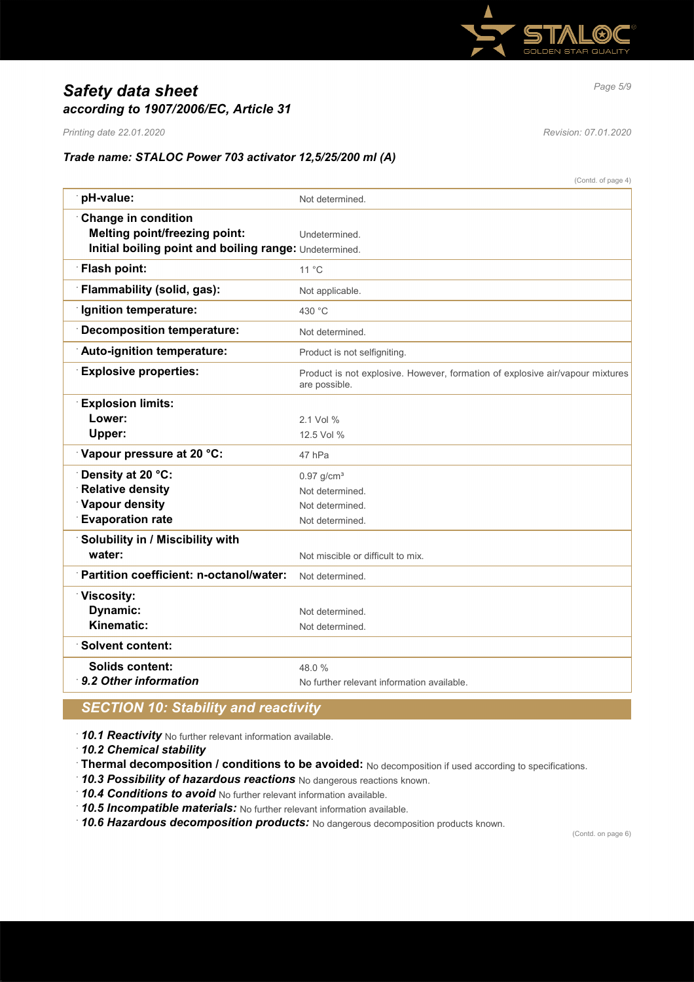

# *Page 5/9 Safety data sheet according to 1907/2006/EC, Article 31*

*Printing date 22.01.2020 Revision: 07.01.2020*

(Contd. of page 4)

## *Trade name: STALOC Power 703 activator 12,5/25/200 ml (A)*

|                                                        | (Conta, or page 4                                                                              |
|--------------------------------------------------------|------------------------------------------------------------------------------------------------|
| pH-value:                                              | Not determined.                                                                                |
| <b>Change in condition</b>                             |                                                                                                |
| <b>Melting point/freezing point:</b>                   | Undetermined.                                                                                  |
| Initial boiling point and boiling range: Undetermined. |                                                                                                |
| <b>Flash point:</b>                                    | $11^{\circ}$ C                                                                                 |
| Flammability (solid, gas):                             | Not applicable.                                                                                |
| <b>Ignition temperature:</b>                           | 430 °C                                                                                         |
| <b>Decomposition temperature:</b>                      | Not determined.                                                                                |
| Auto-ignition temperature:                             | Product is not selfigniting.                                                                   |
| <b>Explosive properties:</b>                           | Product is not explosive. However, formation of explosive air/vapour mixtures<br>are possible. |
| <b>Explosion limits:</b>                               |                                                                                                |
| Lower:                                                 | 2.1 Vol %                                                                                      |
| Upper:                                                 | 12.5 Vol %                                                                                     |
| Vapour pressure at 20 °C:                              | 47 hPa                                                                                         |
| Density at 20 °C:                                      | $0.97$ g/cm <sup>3</sup>                                                                       |
| <b>Relative density</b>                                | Not determined.                                                                                |
| <b>Vapour density</b>                                  | Not determined.                                                                                |
| <b>Evaporation rate</b>                                | Not determined.                                                                                |
| Solubility in / Miscibility with                       |                                                                                                |
| water:                                                 | Not miscible or difficult to mix.                                                              |
| Partition coefficient: n-octanol/water:                | Not determined.                                                                                |
| <b>Viscosity:</b>                                      |                                                                                                |
| Dynamic:                                               | Not determined.                                                                                |
| Kinematic:                                             | Not determined.                                                                                |
| <b>Solvent content:</b>                                |                                                                                                |
| <b>Solids content:</b>                                 | 48.0%                                                                                          |
| 9.2 Other information                                  | No further relevant information available.                                                     |
|                                                        |                                                                                                |

## *SECTION 10: Stability and reactivity*

· *10.1 Reactivity* No further relevant information available.

· *10.2 Chemical stability*

· **Thermal decomposition / conditions to be avoided:** No decomposition if used according to specifications.

· *10.3 Possibility of hazardous reactions* No dangerous reactions known.

· *10.4 Conditions to avoid* No further relevant information available.

· *10.5 Incompatible materials:* No further relevant information available.

· *10.6 Hazardous decomposition products:* No dangerous decomposition products known.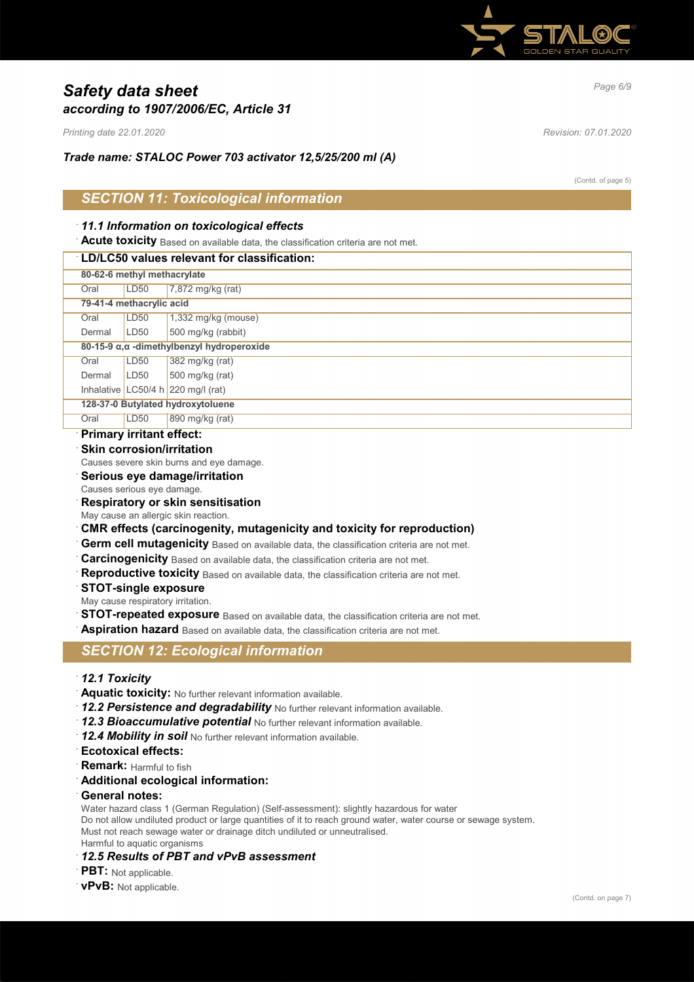

# *Page 6/9 Safety data sheet according to 1907/2006/EC, Article 31*

*Printing date 22.01.2020 Revision: 07.01.2020*

*Trade name: STALOC Power 703 activator 12,5/25/200 ml (A)*

(Contd. of page 5)

## *SECTION 11: Toxicological information*

### · *11.1 Information on toxicological effects*

**Acute toxicity** Based on available data, the classification criteria are not met.

### · **LD/LC50 values relevant for classification:**

|                          | 80-62-6 methyl methacrylate                |                                      |  |  |
|--------------------------|--------------------------------------------|--------------------------------------|--|--|
| Oral                     | LD <sub>50</sub>                           | 7,872 mg/kg (rat)                    |  |  |
| 79-41-4 methacrylic acid |                                            |                                      |  |  |
| Oral                     | LD <sub>50</sub>                           | $1,332$ mg/kg (mouse)                |  |  |
| Dermal                   | LD <sub>50</sub>                           | 500 mg/kg (rabbit)                   |  |  |
|                          | 80-15-9 α, α -dimethylbenzyl hydroperoxide |                                      |  |  |
| Oral                     | LD50                                       | 382 mg/kg (rat)                      |  |  |
| Dermal                   | LD <sub>50</sub>                           | 500 mg/kg (rat)                      |  |  |
|                          |                                            | Inhalative LC50/4 h $220$ mg/l (rat) |  |  |
|                          | 128-37-0 Butylated hydroxytoluene          |                                      |  |  |
| Oral                     | LD <sub>50</sub>                           | 890 mg/kg (rat)                      |  |  |
|                          |                                            |                                      |  |  |

## · **Primary irritant effect:**

**Skin corrosion/irritation** 

Causes severe skin burns and eye damage.

- · **Serious eye damage/irritation**
- Causes serious eye damage.
- · **Respiratory or skin sensitisation**
- May cause an allergic skin reaction.
- · **CMR effects (carcinogenity, mutagenicity and toxicity for reproduction)**
- Germ cell mutagenicity Based on available data, the classification criteria are not met.
- **Carcinogenicity** Based on available data, the classification criteria are not met.
- Reproductive toxicity Based on available data, the classification criteria are not met.
- · **STOT-single exposure**
- May cause respiratory irritation.
- **STOT-repeated exposure** Based on available data, the classification criteria are not met.

Aspiration hazard Based on available data, the classification criteria are not met.

## *SECTION 12: Ecological information*

- · *12.1 Toxicity*
- · **Aquatic toxicity:** No further relevant information available.
- 12.2 Persistence and degradability No further relevant information available.
- · *12.3 Bioaccumulative potential* No further relevant information available.
- · *12.4 Mobility in soil* No further relevant information available.
- · **Ecotoxical effects:**
- **Remark:** Harmful to fish
- · **Additional ecological information:**
- · **General notes:**

Water hazard class 1 (German Regulation) (Self-assessment): slightly hazardous for water Do not allow undiluted product or large quantities of it to reach ground water, water course or sewage system. Must not reach sewage water or drainage ditch undiluted or unneutralised. Harmful to aquatic organisms

### · *12.5 Results of PBT and vPvB assessment*

- · **PBT:** Not applicable.
- · **vPvB:** Not applicable.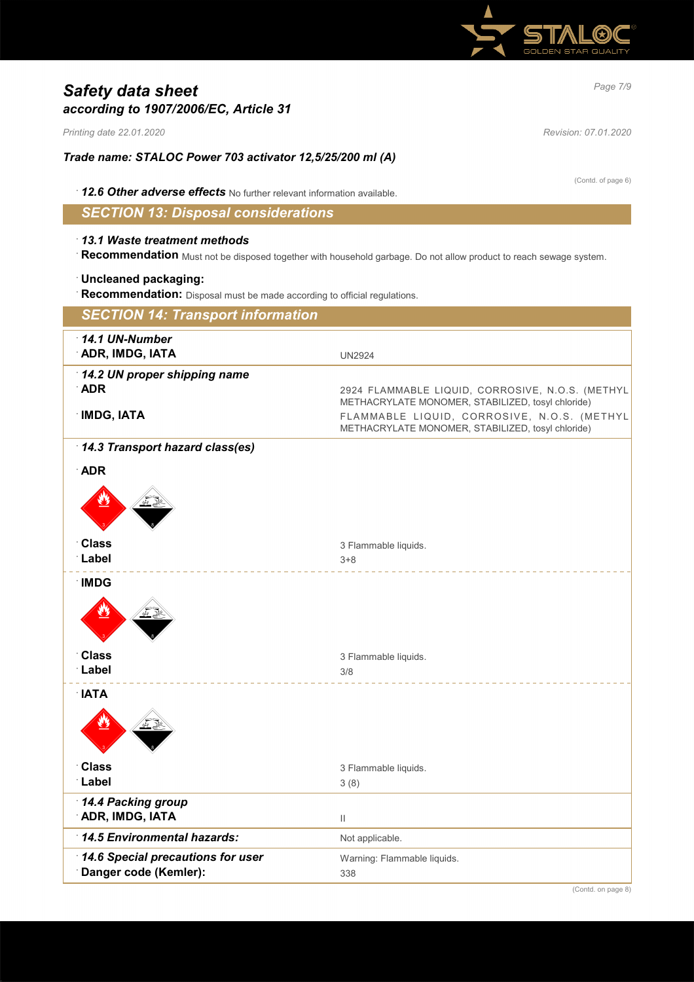

# *Page 7/9 Safety data sheet according to 1907/2006/EC, Article 31*

*Printing date 22.01.2020 Revision: 07.01.2020*

*Trade name: STALOC Power 703 activator 12,5/25/200 ml (A)*

· *12.6 Other adverse effects* No further relevant information available.

*SECTION 13: Disposal considerations*

## · *13.1 Waste treatment methods*

· **Recommendation** Must not be disposed together with household garbage. Do not allow product to reach sewage system.

### · **Uncleaned packaging:**

· **Recommendation:** Disposal must be made according to official regulations.

| <b>SECTION 14: Transport information</b>     |                                                                                                       |
|----------------------------------------------|-------------------------------------------------------------------------------------------------------|
| 14.1 UN-Number<br>ADR, IMDG, IATA            | <b>UN2924</b>                                                                                         |
| 14.2 UN proper shipping name                 |                                                                                                       |
| <b>ADR</b>                                   | 2924 FLAMMABLE LIQUID, CORROSIVE, N.O.S. (METHYL<br>METHACRYLATE MONOMER, STABILIZED, tosyl chloride) |
| <b>IMDG, IATA</b>                            | FLAMMABLE LIQUID, CORROSIVE, N.O.S. (METHYL<br>METHACRYLATE MONOMER, STABILIZED, tosyl chloride)      |
| 14.3 Transport hazard class(es)              |                                                                                                       |
| <b>ADR</b>                                   |                                                                                                       |
|                                              |                                                                                                       |
| <b>Class</b>                                 | 3 Flammable liquids.                                                                                  |
| Label                                        | $3 + 8$                                                                                               |
| <b>IMDG</b>                                  |                                                                                                       |
|                                              |                                                                                                       |
| <b>Class</b>                                 | 3 Flammable liquids.                                                                                  |
| Label                                        | 3/8                                                                                                   |
| <b>IATA</b>                                  |                                                                                                       |
|                                              |                                                                                                       |
| <b>Class</b>                                 | 3 Flammable liquids.                                                                                  |
| Label                                        | 3(8)                                                                                                  |
| 14.4 Packing group<br><b>ADR, IMDG, IATA</b> | $\mathbf{H}$                                                                                          |
| 14.5 Environmental hazards:                  | Not applicable.                                                                                       |
| 14.6 Special precautions for user            | Warning: Flammable liquids.                                                                           |
| Danger code (Kemler):                        | 338                                                                                                   |

(Contd. of page 6)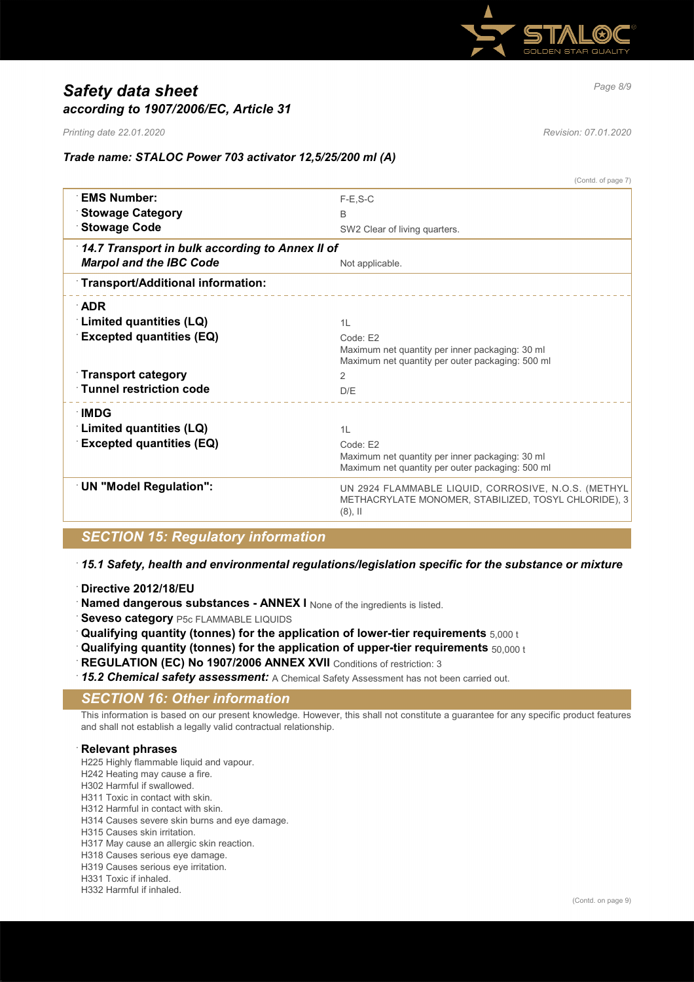

# *Page 8/9 Safety data sheet according to 1907/2006/EC, Article 31*

*Printing date 22.01.2020 Revision: 07.01.2020*

(Contd. of page 7)

### *Trade name: STALOC Power 703 activator 12,5/25/200 ml (A)*

|                                                 | (Contd. of page I)                                                                                                        |
|-------------------------------------------------|---------------------------------------------------------------------------------------------------------------------------|
| <b>EMS Number:</b>                              | $F-E.S-C$                                                                                                                 |
| <b>Stowage Category</b>                         | <sub>B</sub>                                                                                                              |
| <b>Stowage Code</b>                             | SW2 Clear of living quarters.                                                                                             |
| 14.7 Transport in bulk according to Annex II of |                                                                                                                           |
| <b>Marpol and the IBC Code</b>                  | Not applicable.                                                                                                           |
| Transport/Additional information:               |                                                                                                                           |
| $\Delta$ DR                                     |                                                                                                                           |
| Limited quantities (LQ)                         | 1L                                                                                                                        |
| <b>Excepted quantities (EQ)</b>                 | Code: E2                                                                                                                  |
|                                                 | Maximum net quantity per inner packaging: 30 ml<br>Maximum net quantity per outer packaging: 500 ml                       |
| <b>Transport category</b>                       | 2                                                                                                                         |
| <b>Tunnel restriction code</b>                  | D/E                                                                                                                       |
| ∴IMDG                                           |                                                                                                                           |
| Limited quantities (LQ)                         | 11                                                                                                                        |
| <b>Excepted quantities (EQ)</b>                 | Code: F2                                                                                                                  |
|                                                 | Maximum net quantity per inner packaging: 30 ml                                                                           |
|                                                 | Maximum net quantity per outer packaging: 500 ml                                                                          |
| <b>UN "Model Regulation":</b>                   | UN 2924 FLAMMABLE LIQUID, CORROSIVE, N.O.S. (METHYL<br>METHACRYLATE MONOMER, STABILIZED, TOSYL CHLORIDE), 3<br>$(8)$ , II |
|                                                 |                                                                                                                           |

## *SECTION 15: Regulatory information*

### · *15.1 Safety, health and environmental regulations/legislation specific for the substance or mixture*

- · **Directive 2012/18/EU**
- Named dangerous substances ANNEX I None of the ingredients is listed.
- **Seveso category** P5c FLAMMABLE LIQUIDS
- · **Qualifying quantity (tonnes) for the application of lower-tier requirements** 5,000 t
- · **Qualifying quantity (tonnes) for the application of upper-tier requirements** 50,000 t
- **REGULATION (EC) No 1907/2006 ANNEX XVII** Conditions of restriction: 3
- · *15.2 Chemical safety assessment:* A Chemical Safety Assessment has not been carried out.

## *SECTION 16: Other information*

This information is based on our present knowledge. However, this shall not constitute a guarantee for any specific product features and shall not establish a legally valid contractual relationship.

### · **Relevant phrases**

H225 Highly flammable liquid and vapour.

- H242 Heating may cause a fire.
- H302 Harmful if swallowed.
- H311 Toxic in contact with skin.
- H312 Harmful in contact with skin.
- H314 Causes severe skin burns and eye damage.
- H315 Causes skin irritation.
- H317 May cause an allergic skin reaction.
- H318 Causes serious eye damage.
- H319 Causes serious eye irritation.
- H331 Toxic if inhaled.
- H332 Harmful if inhaled.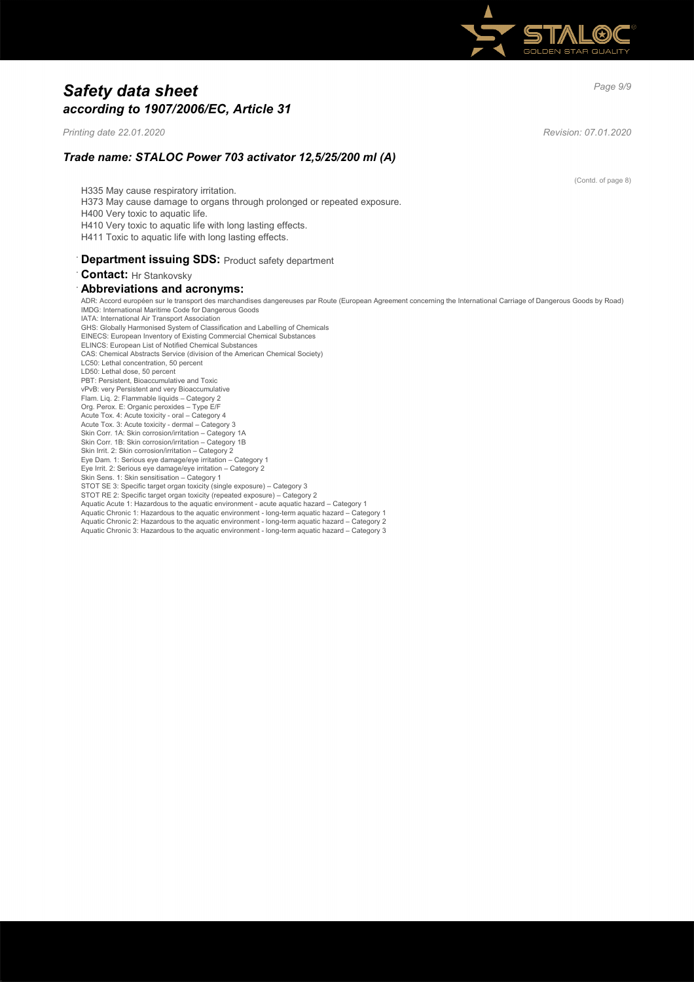

# *Page 9/9 Safety data sheet according to 1907/2006/EC, Article 31*

*Printing date 22.01.2020 Revision: 07.01.2020*

(Contd. of page 8)

*Trade name: STALOC Power 703 activator 12,5/25/200 ml (A)*

H335 May cause respiratory irritation. H373 May cause damage to organs through prolonged or repeated exposure. H400 Very toxic to aquatic life. H410 Very toxic to aquatic life with long lasting effects. H411 Toxic to aquatic life with long lasting effects. **Department issuing SDS: Product safety department** · **Contact:** Hr Stankovsky

## · **Abbreviations and acronyms:**

ADR: Accord européen sur le transport des marchandises dangereuses par Route (European Agreement concerning the International Carriage of Dangerous Goods by Road) IMDG: International Maritime Code for Dangerous Goods IATA: International Air Transport Association GHS: Globally Harmonised System of Classification and Labelling of Chemicals EINECS: European Inventory of Existing Commercial Chemical Substances ELINCS: European List of Notified Chemical Substances CAS: Chemical Abstracts Service (division of the American Chemical Society) LC50: Lethal concentration, 50 percent LD50: Lethal dose, 50 percent PBT: Persistent, Bioaccumulative and Toxic vPvB: very Persistent and very Bioaccumulative Flam. Liq. 2: Flammable liquids – Category 2 Org. Perox. E: Organic peroxides – Type E/F Acute Tox. 4: Acute toxicity - oral – Category 4 Acute Tox. 3: Acute toxicity - dermal – Category 3 Skin Corr. 1A: Skin corrosion/irritation – Category 1A Skin Corr. 1B: Skin corrosion/irritation – Category 1B Skin Irrit. 2: Skin corrosion/irritation - Category 2 Eye Dam. 1: Serious eye damage/eye irritation – Category 1 Eye Irrit. 2: Serious eye damage/eye irritation – Category 2 Skin Sens. 1: Skin sensitisation – Category 1 STOT SE 3: Specific target organ toxicity (single exposure) – Category 3 STOT RE 2: Specific target organ toxicity (repeated exposure) – Category 2 Aquatic Acute 1: Hazardous to the aquatic environment - acute aquatic hazard – Category 1 Aquatic Chronic 1: Hazardous to the aquatic environment - long-term aquatic hazard – Category 1 Aquatic Chronic 2: Hazardous to the aquatic environment - long-term aquatic hazard – Category 2 Aquatic Chronic 3: Hazardous to the aquatic environment - long-term aquatic hazard – Category 3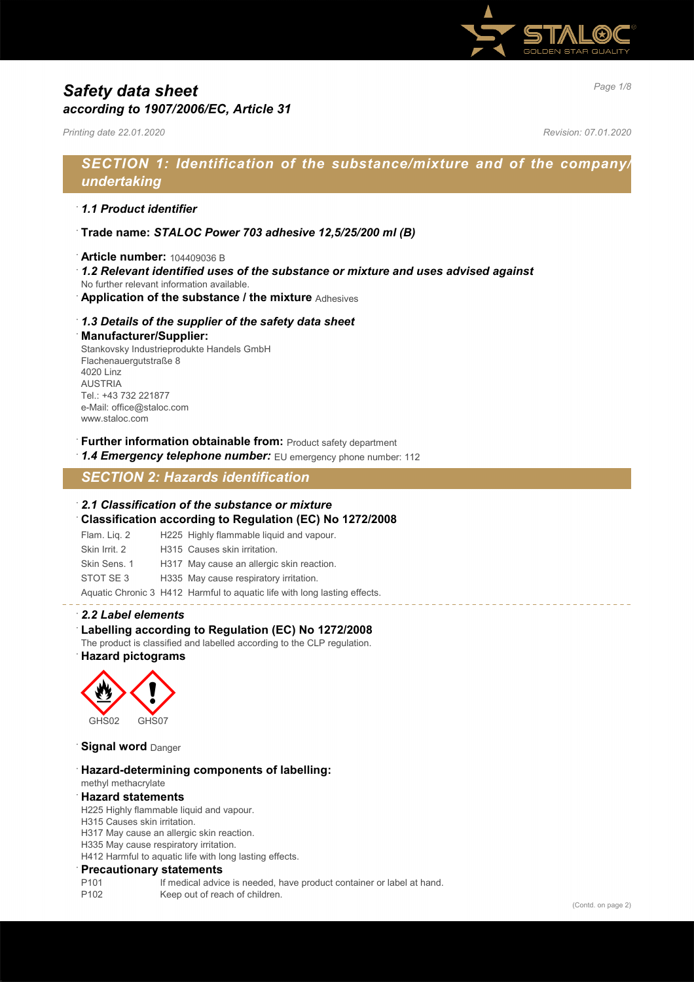

# *Page 1/8 Safety data sheet according to 1907/2006/EC, Article 31*

*Printing date 22.01.2020 Revision: 07.01.2020*

# *SECTION 1: Identification of the substance/mixture and of the company/ undertaking*

### · *1.1 Product identifier*

- · **Trade name:** *STALOC Power 703 adhesive 12,5/25/200 ml (B)*
- · **Article number:** 104409036 B
- · *1.2 Relevant identified uses of the substance or mixture and uses advised against*
- No further relevant information available.
- · **Application of the substance / the mixture** Adhesives

### · *1.3 Details of the supplier of the safety data sheet*

#### · **Manufacturer/Supplier:**

Stankovsky Industrieprodukte Handels GmbH Flachenauergutstraße 8 4020 Linz AUSTRIA Tel.: +43 732 221877 e-Mail: office@staloc.com www.staloc.com

- **Further information obtainable from:** Product safety department
- 1.4 **Emergency telephone number:** EU emergency phone number: 112

# *SECTION 2: Hazards identification*

#### · *2.1 Classification of the substance or mixture*

- · **Classification according to Regulation (EC) No 1272/2008**
- Flam. Liq. 2 H225 Highly flammable liquid and vapour.
- Skin Irrit. 2 H315 Causes skin irritation.
- Skin Sens. 1 H317 May cause an allergic skin reaction.
- STOT SE 3 H335 May cause respiratory irritation.

Aquatic Chronic 3 H412 Harmful to aquatic life with long lasting effects.

### · *2.2 Label elements*

## Labelling according to Regulation (EC) No 1272/2008

The product is classified and labelled according to the CLP regulation. · **Hazard pictograms**



**Signal word** Danger

· **Hazard-determining components of labelling:** methyl methacrylate

## · **Hazard statements**

H225 Highly flammable liquid and vapour.

- H315 Causes skin irritation.
- H317 May cause an allergic skin reaction.
- H335 May cause respiratory irritation.

H412 Harmful to aquatic life with long lasting effects.

#### · **Precautionary statements**

- P101 If medical advice is needed, have product container or label at hand.
- P102 Keep out of reach of children.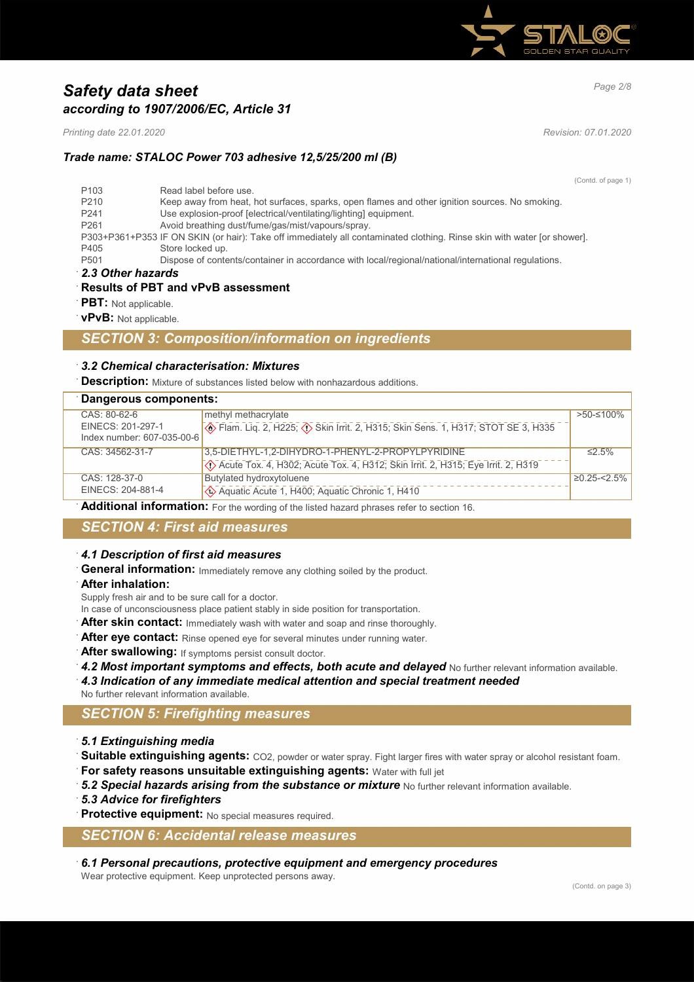

# *Page 2/8 Safety data sheet according to 1907/2006/EC, Article 31*

*Printing date 22.01.2020 Revision: 07.01.2020*

## *Trade name: STALOC Power 703 adhesive 12,5/25/200 ml (B)*

(Contd. of page 1)

| 2.3 Other hazards |                                                                                                                         |
|-------------------|-------------------------------------------------------------------------------------------------------------------------|
| P <sub>501</sub>  | Dispose of contents/container in accordance with local/regional/national/international regulations.                     |
| P405              | Store locked up.                                                                                                        |
|                   | P303+P361+P353 IF ON SKIN (or hair): Take off immediately all contaminated clothing. Rinse skin with water [or shower]. |
| P <sub>261</sub>  | Avoid breathing dust/fume/gas/mist/vapours/spray.                                                                       |
| P <sub>241</sub>  | Use explosion-proof [electrical/ventilating/lighting] equipment.                                                        |
| P <sub>210</sub>  | Keep away from heat, hot surfaces, sparks, open flames and other ignition sources. No smoking.                          |
| P <sub>103</sub>  | Read label before use.                                                                                                  |

### · **Results of PBT and vPvB assessment**

- · **PBT:** Not applicable.
- · **vPvB:** Not applicable.

## *SECTION 3: Composition/information on ingredients*

### · *3.2 Chemical characterisation: Mixtures*

· **Description:** Mixture of substances listed below with nonhazardous additions.

| Dangerous components:      |                                                                                        |                   |
|----------------------------|----------------------------------------------------------------------------------------|-------------------|
| CAS: 80-62-6               | methyl methacrylate                                                                    | >50-≤100%         |
| EINECS: 201-297-1          | <b>Example 2, H225; 4&gt; Skin Irrit. 2, H315; Skin Sens. 1, H317; STOT SE 3, H335</b> |                   |
| Index number: 607-035-00-6 |                                                                                        |                   |
| CAS: 34562-31-7            | 3,5-DIETHYL-1,2-DIHYDRO-1-PHENYL-2-PROPYLPYRIDINE                                      | $\leq$ 5%         |
|                            | ◇ Acute Tox. 4, H302; Acute Tox. 4, H312; Skin Irrit. 2, H315; Eye Irrit. 2, H319      |                   |
| CAS: 128-37-0              | Butylated hydroxytoluene                                                               | $\geq$ 0.25-<2.5% |
| EINECS: 204-881-4          | Aquatic Acute 1, H400; Aquatic Chronic 1, H410                                         |                   |

· **Additional information:** For the wording of the listed hazard phrases refer to section 16.

## *SECTION 4: First aid measures*

### · *4.1 Description of first aid measures*

General information: Immediately remove any clothing soiled by the product.

· **After inhalation:**

Supply fresh air and to be sure call for a doctor.

- In case of unconsciousness place patient stably in side position for transportation.
- After skin contact: Immediately wash with water and soap and rinse thoroughly.
- After eye contact: Rinse opened eye for several minutes under running water.
- After swallowing: If symptoms persist consult doctor.
- 4.2 Most important symptoms and effects, both acute and delayed No further relevant information available.
- · *4.3 Indication of any immediate medical attention and special treatment needed*
- No further relevant information available.

## *SECTION 5: Firefighting measures*

- · *5.1 Extinguishing media*
- Suitable extinguishing agents: CO2, powder or water spray. Fight larger fires with water spray or alcohol resistant foam.
- · **For safety reasons unsuitable extinguishing agents:** Water with full jet
- **5.2 Special hazards arising from the substance or mixture** No further relevant information available.
- · *5.3 Advice for firefighters*
- **Protective equipment:** No special measures required.

## *SECTION 6: Accidental release measures*

· *6.1 Personal precautions, protective equipment and emergency procedures*

Wear protective equipment. Keep unprotected persons away.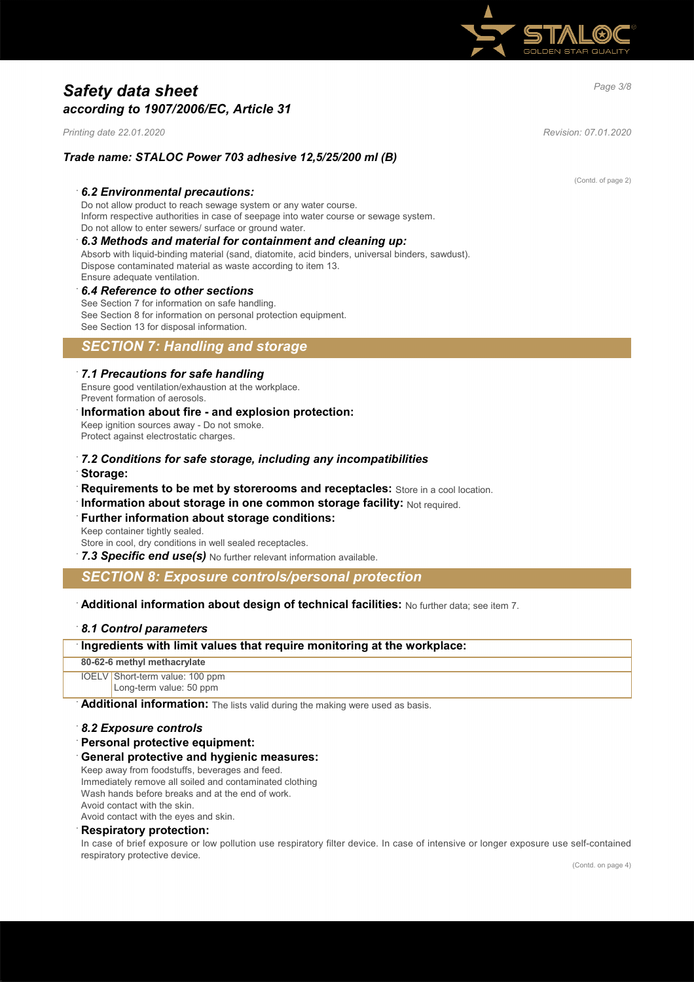

# *Page 3/8 Safety data sheet according to 1907/2006/EC, Article 31*

*Printing date 22.01.2020 Revision: 07.01.2020*

### *Trade name: STALOC Power 703 adhesive 12,5/25/200 ml (B)*

#### · *6.2 Environmental precautions:*

Do not allow product to reach sewage system or any water course. Inform respective authorities in case of seepage into water course or sewage system. Do not allow to enter sewers/ surface or ground water.

## · *6.3 Methods and material for containment and cleaning up:*

Absorb with liquid-binding material (sand, diatomite, acid binders, universal binders, sawdust). Dispose contaminated material as waste according to item 13. Ensure adequate ventilation.

# · *6.4 Reference to other sections*

See Section 7 for information on safe handling. See Section 8 for information on personal protection equipment. See Section 13 for disposal information.

## *SECTION 7: Handling and storage*

#### · *7.1 Precautions for safe handling*

Ensure good ventilation/exhaustion at the workplace. Prevent formation of aerosols.

#### · **Information about fire - and explosion protection:** Keep ignition sources away - Do not smoke. Protect against electrostatic charges.

- · *7.2 Conditions for safe storage, including any incompatibilities* · **Storage:**
- · **Requirements to be met by storerooms and receptacles:** Store in a cool location.
- **Information about storage in one common storage facility: Not required.**

# **Further information about storage conditions:**

Keep container tightly sealed. Store in cool, dry conditions in well sealed receptacles.

· *7.3 Specific end use(s)* No further relevant information available.

## *SECTION 8: Exposure controls/personal protection*

### · **Additional information about design of technical facilities:** No further data; see item 7.

### · *8.1 Control parameters*

### · **Ingredients with limit values that require monitoring at the workplace:**

**80-62-6 methyl methacrylate**

IOELV Short-term value: 100 ppm Long-term value: 50 ppm

Additional information: The lists valid during the making were used as basis.

#### · *8.2 Exposure controls*

· **Personal protective equipment:**

#### · **General protective and hygienic measures:**

Keep away from foodstuffs, beverages and feed. Immediately remove all soiled and contaminated clothing Wash hands before breaks and at the end of work. Avoid contact with the skin.

Avoid contact with the eyes and skin.

## · **Respiratory protection:**

In case of brief exposure or low pollution use respiratory filter device. In case of intensive or longer exposure use self-contained respiratory protective device.

(Contd. of page 2)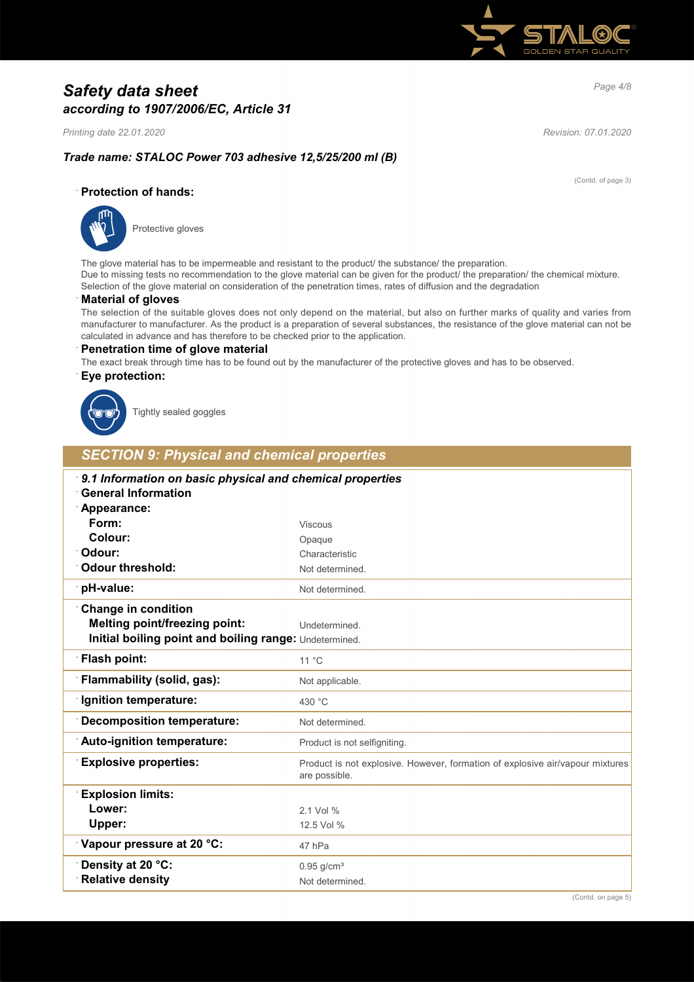

# *Page 4/8 Safety data sheet according to 1907/2006/EC, Article 31*

*Printing date 22.01.2020 Revision: 07.01.2020*

(Contd. of page 3)

## *Trade name: STALOC Power 703 adhesive 12,5/25/200 ml (B)*

### · **Protection of hands:**



Protective gloves

The glove material has to be impermeable and resistant to the product/ the substance/ the preparation. Due to missing tests no recommendation to the glove material can be given for the product/ the preparation/ the chemical mixture. Selection of the glove material on consideration of the penetration times, rates of diffusion and the degradation

### · **Material of gloves**

The selection of the suitable gloves does not only depend on the material, but also on further marks of quality and varies from manufacturer to manufacturer. As the product is a preparation of several substances, the resistance of the glove material can not be calculated in advance and has therefore to be checked prior to the application.

#### · **Penetration time of glove material**

The exact break through time has to be found out by the manufacturer of the protective gloves and has to be observed.

### · **Eye protection:**



Tightly sealed goggles

## *SECTION 9: Physical and chemical properties*

| 9.1 Information on basic physical and chemical properties<br><b>General Information</b> |                                                                                                |  |
|-----------------------------------------------------------------------------------------|------------------------------------------------------------------------------------------------|--|
| Appearance:                                                                             |                                                                                                |  |
| Form:                                                                                   | <b>Viscous</b>                                                                                 |  |
| Colour:                                                                                 | Opaque                                                                                         |  |
| Odour:                                                                                  | Characteristic                                                                                 |  |
| <b>Odour threshold:</b>                                                                 | Not determined.                                                                                |  |
| pH-value:                                                                               | Not determined.                                                                                |  |
| <b>Change in condition</b>                                                              |                                                                                                |  |
| <b>Melting point/freezing point:</b>                                                    | Undetermined.                                                                                  |  |
| Initial boiling point and boiling range: Undetermined.                                  |                                                                                                |  |
| Flash point:                                                                            | $11^{\circ}$ C                                                                                 |  |
| Flammability (solid, gas):                                                              | Not applicable.                                                                                |  |
| Ignition temperature:                                                                   | 430 °C                                                                                         |  |
| <b>Decomposition temperature:</b>                                                       | Not determined.                                                                                |  |
| Auto-ignition temperature:                                                              | Product is not selfigniting.                                                                   |  |
| <b>Explosive properties:</b>                                                            | Product is not explosive. However, formation of explosive air/vapour mixtures<br>are possible. |  |
| <b>Explosion limits:</b>                                                                |                                                                                                |  |
| Lower:                                                                                  | 2.1 Vol %                                                                                      |  |
| Upper:                                                                                  | 12.5 Vol %                                                                                     |  |
| Vapour pressure at 20 °C:                                                               | 47 hPa                                                                                         |  |
| Density at 20 °C:                                                                       | $0.95$ g/cm <sup>3</sup>                                                                       |  |
| <b>Relative density</b>                                                                 | Not determined.                                                                                |  |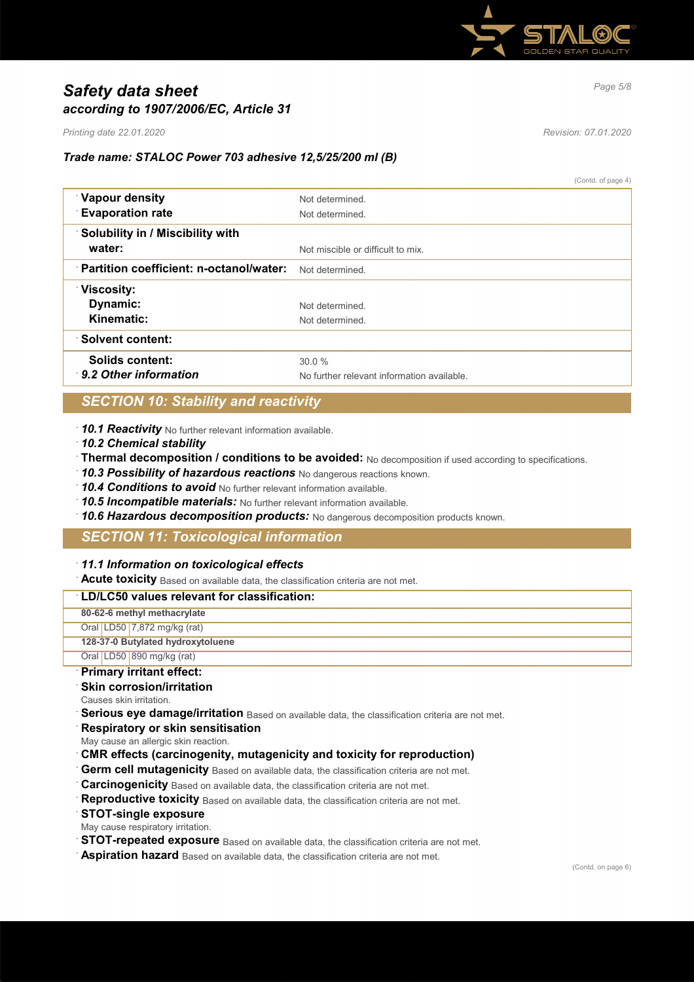

# *Page 5/8 Safety data sheet according to 1907/2006/EC, Article 31*

*Printing date 22.01.2020 Revision: 07.01.2020*

### *Trade name: STALOC Power 703 adhesive 12,5/25/200 ml (B)*

(Contd. of page 4)

| Vapour density                          | Not determined                             |
|-----------------------------------------|--------------------------------------------|
| <b>Evaporation rate</b>                 | Not determined                             |
| <b>Solubility in / Miscibility with</b> |                                            |
| water:                                  | Not miscible or difficult to mix.          |
| Partition coefficient: n-octanol/water: | Not determined                             |
| <b>Viscosity:</b>                       |                                            |
| Dynamic:                                | Not determined                             |
| Kinematic:                              | Not determined.                            |
| <b>Solvent content:</b>                 |                                            |
| Solids content:                         | 30.0%                                      |
| 9.2 Other information                   | No further relevant information available. |

## *SECTION 10: Stability and reactivity*

· *10.1 Reactivity* No further relevant information available.

- · *10.2 Chemical stability*
- · **Thermal decomposition / conditions to be avoided:** No decomposition if used according to specifications.
- · *10.3 Possibility of hazardous reactions* No dangerous reactions known.
- · *10.4 Conditions to avoid* No further relevant information available.
- · *10.5 Incompatible materials:* No further relevant information available.
- · *10.6 Hazardous decomposition products:* No dangerous decomposition products known.

## *SECTION 11: Toxicological information*

### · *11.1 Information on toxicological effects*

· **Acute toxicity** Based on available data, the classification criteria are not met.

## · **LD/LC50 values relevant for classification: 80-62-6 methyl methacrylate** Oral LD50 7,872 mg/kg (rat) **128-37-0 Butylated hydroxytoluene** Oral LD50 890 mg/kg (rat)

#### · **Primary irritant effect: Skin corrosion/irritation**

- Causes skin irritation.
- **Serious eye damage/irritation** Based on available data, the classification criteria are not met.
- · **Respiratory or skin sensitisation**
- May cause an allergic skin reaction.
- · **CMR effects (carcinogenity, mutagenicity and toxicity for reproduction)**
- Germ cell mutagenicity Based on available data, the classification criteria are not met.
- **Carcinogenicity** Based on available data, the classification criteria are not met.
- Reproductive toxicity Based on available data, the classification criteria are not met.
- · **STOT-single exposure**
- May cause respiratory irritation.
- **STOT-repeated exposure** Based on available data, the classification criteria are not met.
- · **Aspiration hazard** Based on available data, the classification criteria are not met.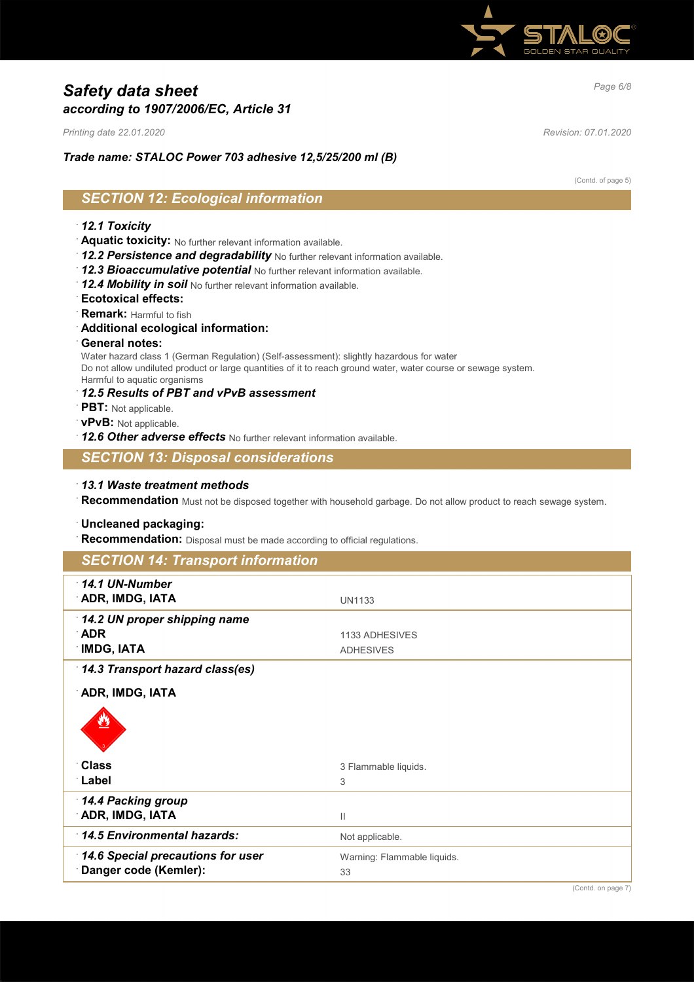

# *Page 6/8 Safety data sheet according to 1907/2006/EC, Article 31*

*Printing date 22.01.2020 Revision: 07.01.2020*

### *Trade name: STALOC Power 703 adhesive 12,5/25/200 ml (B)*

(Contd. of page 5)

# *SECTION 12: Ecological information*

### · *12.1 Toxicity*

- · **Aquatic toxicity:** No further relevant information available.
- · *12.2 Persistence and degradability* No further relevant information available.
- · *12.3 Bioaccumulative potential* No further relevant information available.
- · *12.4 Mobility in soil* No further relevant information available.
- · **Ecotoxical effects:**
- · **Remark:** Harmful to fish
- · **Additional ecological information:**
- · **General notes:**

Water hazard class 1 (German Regulation) (Self-assessment): slightly hazardous for water Do not allow undiluted product or large quantities of it to reach ground water, water course or sewage system. Harmful to aquatic organisms

- · *12.5 Results of PBT and vPvB assessment*
- · **PBT:** Not applicable.
- · **vPvB:** Not applicable.
- · *12.6 Other adverse effects* No further relevant information available.

## *SECTION 13: Disposal considerations*

· *13.1 Waste treatment methods*

· **Recommendation** Must not be disposed together with household garbage. Do not allow product to reach sewage system.

#### · **Uncleaned packaging:**

· **Recommendation:** Disposal must be made according to official regulations.

| <b>SECTION 14: Transport information</b>                   |                                    |
|------------------------------------------------------------|------------------------------------|
| $\cdot$ 14.1 UN-Number<br>ADR, IMDG, IATA                  | <b>UN1133</b>                      |
| 14.2 UN proper shipping name<br>∴ADR<br><b>IMDG, IATA</b>  | 1133 ADHESIVES<br><b>ADHESIVES</b> |
| 14.3 Transport hazard class(es)                            |                                    |
| ADR, IMDG, IATA                                            |                                    |
| <b>Class</b><br>∴Label                                     | 3 Flammable liquids.<br>3          |
| 14.4 Packing group<br>ADR, IMDG, IATA                      | $\mathbf{  }$                      |
| 14.5 Environmental hazards:                                | Not applicable.                    |
| 14.6 Special precautions for user<br>Danger code (Kemler): | Warning: Flammable liquids.<br>33  |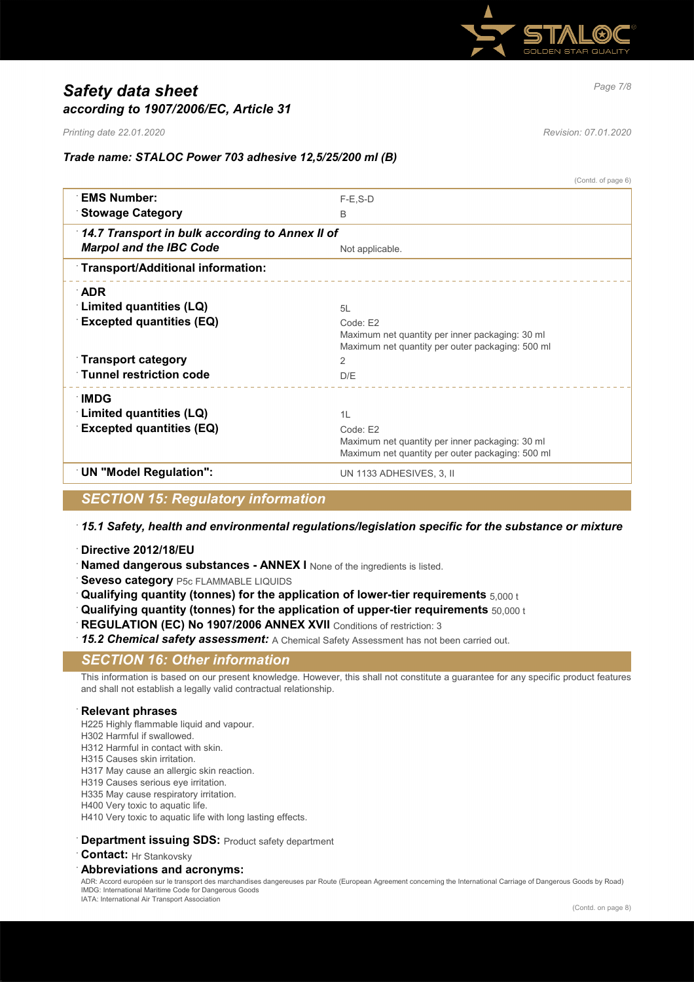

# *Page 7/8 Safety data sheet according to 1907/2006/EC, Article 31*

*Printing date 22.01.2020 Revision: 07.01.2020*

*Trade name: STALOC Power 703 adhesive 12,5/25/200 ml (B)*

|                                                 | (Contd. of page 6)                                                                                  |
|-------------------------------------------------|-----------------------------------------------------------------------------------------------------|
| <b>EMS Number:</b>                              | $F-E$ , $S-D$                                                                                       |
| <b>Stowage Category</b>                         | B                                                                                                   |
| 14.7 Transport in bulk according to Annex II of |                                                                                                     |
| <b>Marpol and the IBC Code</b>                  | Not applicable.                                                                                     |
| Transport/Additional information:               |                                                                                                     |
| <b>ADR</b>                                      |                                                                                                     |
| <b>Limited quantities (LQ)</b>                  | 5L                                                                                                  |
| <b>Excepted quantities (EQ)</b>                 | Code: E2                                                                                            |
|                                                 | Maximum net quantity per inner packaging: 30 ml<br>Maximum net quantity per outer packaging: 500 ml |
| <b>Transport category</b>                       | $\mathcal{P}$                                                                                       |
| <b>Tunnel restriction code</b>                  | D/E                                                                                                 |
| ∴IMDG                                           |                                                                                                     |
| Limited quantities (LQ)                         | 1L                                                                                                  |
| <b>Excepted quantities (EQ)</b>                 | Code: E2                                                                                            |
|                                                 | Maximum net quantity per inner packaging: 30 ml                                                     |
|                                                 | Maximum net quantity per outer packaging: 500 ml                                                    |
| <b>UN "Model Regulation":</b>                   | UN 1133 ADHESIVES, 3, II                                                                            |

## *SECTION 15: Regulatory information*

## · *15.1 Safety, health and environmental regulations/legislation specific for the substance or mixture*

- · **Directive 2012/18/EU**
- **Named dangerous substances ANNEX I** None of the ingredients is listed.
- **Seveso category** P5c FLAMMABLE LIQUIDS
- · **Qualifying quantity (tonnes) for the application of lower-tier requirements** 5,000 t
- · **Qualifying quantity (tonnes) for the application of upper-tier requirements** 50,000 t
- **REGULATION (EC) No 1907/2006 ANNEX XVII** Conditions of restriction: 3
- 15.2 Chemical safety assessment: A Chemical Safety Assessment has not been carried out.

## *SECTION 16: Other information*

This information is based on our present knowledge. However, this shall not constitute a guarantee for any specific product features and shall not establish a legally valid contractual relationship.

### · **Relevant phrases**

- H225 Highly flammable liquid and vapour.
- H302 Harmful if swallowed.
- H312 Harmful in contact with skin.
- H315 Causes skin irritation.
- H317 May cause an allergic skin reaction.
- H319 Causes serious eye irritation.
- H335 May cause respiratory irritation.
- H400 Very toxic to aquatic life.
- H410 Very toxic to aquatic life with long lasting effects.

#### **Department issuing SDS: Product safety department**

**Contact:** Hr Stankovsky

#### · **Abbreviations and acronyms:**

ADR: Accord européen sur le transport des marchandises dangereuses par Route (European Agreement concerning the International Carriage of Dangerous Goods by Road) IMDG: International Maritime Code for Dangerous Goods IATA: International Air Transport Association